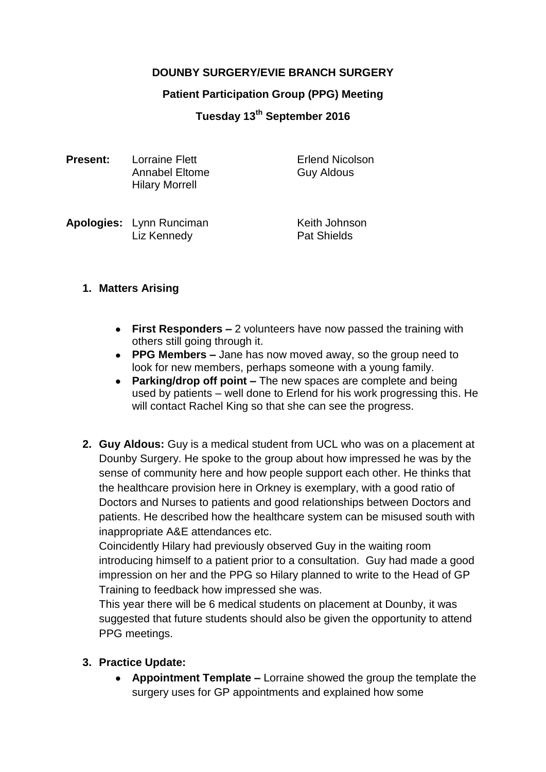# **DOUNBY SURGERY/EVIE BRANCH SURGERY**

#### **Patient Participation Group (PPG) Meeting**

## **Tuesday 13th September 2016**

| <b>Present:</b> | Lorraine Flett<br>Annabel Eltome<br><b>Hilary Morrell</b> | <b>Erlend Nicolson</b><br><b>Guy Aldous</b> |
|-----------------|-----------------------------------------------------------|---------------------------------------------|
|                 |                                                           |                                             |

**Apologies:** Lynn Runciman Keith Johnson Liz Kennedy **Pat Shields** 

#### **1. Matters Arising**

- **First Responders –** 2 volunteers have now passed the training with others still going through it.
- **PPG Members –** Jane has now moved away, so the group need to look for new members, perhaps someone with a young family.
- **Parking/drop off point –** The new spaces are complete and being used by patients – well done to Erlend for his work progressing this. He will contact Rachel King so that she can see the progress.
- **2. Guy Aldous:** Guy is a medical student from UCL who was on a placement at Dounby Surgery. He spoke to the group about how impressed he was by the sense of community here and how people support each other. He thinks that the healthcare provision here in Orkney is exemplary, with a good ratio of Doctors and Nurses to patients and good relationships between Doctors and patients. He described how the healthcare system can be misused south with inappropriate A&E attendances etc.

Coincidently Hilary had previously observed Guy in the waiting room introducing himself to a patient prior to a consultation. Guy had made a good impression on her and the PPG so Hilary planned to write to the Head of GP Training to feedback how impressed she was.

This year there will be 6 medical students on placement at Dounby, it was suggested that future students should also be given the opportunity to attend PPG meetings.

## **3. Practice Update:**

**Appointment Template –** Lorraine showed the group the template the surgery uses for GP appointments and explained how some